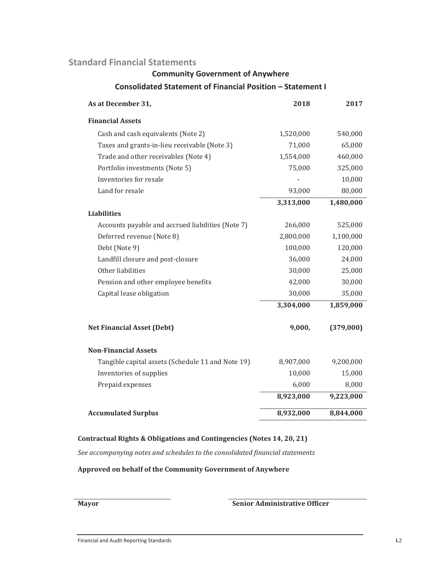#### **Community Government of Anywhere**

#### **Consolidated Statement of Financial Position – Statement I**

| As at December 31,                                | 2018      | 2017      |
|---------------------------------------------------|-----------|-----------|
| <b>Financial Assets</b>                           |           |           |
| Cash and cash equivalents (Note 2)                | 1,520,000 | 540,000   |
| Taxes and grants-in-lieu receivable (Note 3)      | 71,000    | 65,000    |
| Trade and other receivables (Note 4)              | 1,554,000 | 460,000   |
| Portfolio investments (Note 5)                    | 75,000    | 325,000   |
| Inventories for resale                            |           | 10,000    |
| Land for resale                                   | 93,000    | 80,000    |
|                                                   | 3,313,000 | 1,480,000 |
| <b>Liabilities</b>                                |           |           |
| Accounts payable and accrued liabilities (Note 7) | 266,000   | 525,000   |
| Deferred revenue (Note 8)                         | 2,800,000 | 1,100,000 |
| Debt (Note 9)                                     | 100,000   | 120,000   |
| Landfill closure and post-closure                 | 36,000    | 24,000    |
| Other liabilities                                 | 30,000    | 25,000    |
| Pension and other employee benefits               | 42,000    | 30,000    |
| Capital lease obligation                          | 30,000    | 35,000    |
|                                                   | 3,304,000 | 1,859,000 |
| <b>Net Financial Asset (Debt)</b>                 | 9,000,    | (379,000) |
| <b>Non-Financial Assets</b>                       |           |           |
| Tangible capital assets (Schedule 11 and Note 19) | 8,907,000 | 9,200,000 |
| Inventories of supplies                           | 10,000    | 15,000    |
| Prepaid expenses                                  | 6,000     | 8,000     |
|                                                   | 8,923,000 | 9,223,000 |
| <b>Accumulated Surplus</b>                        | 8,932,000 | 8,844,000 |

#### **Contractual Rights & Obligations and Contingencies (Notes 14, 20, 21)**

*See accompanying notes and schedules to the consolidated financial statements* 

**Approved on behalf of the Community Government of Anywhere** 

#### **Mayor** Senior Administrative Officer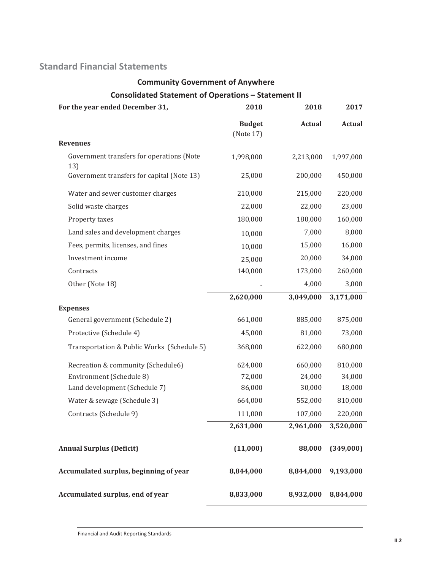# **Community Government of Anywhere**

### **Consolidated Statement of Operations – Statement II**

| For the year ended December 31,                  | 2018                       | 2018          | 2017          |
|--------------------------------------------------|----------------------------|---------------|---------------|
|                                                  | <b>Budget</b><br>(Note 17) | <b>Actual</b> | <b>Actual</b> |
| <b>Revenues</b>                                  |                            |               |               |
| Government transfers for operations (Note<br>13) | 1,998,000                  | 2,213,000     | 1,997,000     |
| Government transfers for capital (Note 13)       | 25,000                     | 200,000       | 450,000       |
| Water and sewer customer charges                 | 210,000                    | 215,000       | 220,000       |
| Solid waste charges                              | 22,000                     | 22,000        | 23,000        |
| Property taxes                                   | 180,000                    | 180,000       | 160,000       |
| Land sales and development charges               | 10,000                     | 7,000         | 8,000         |
| Fees, permits, licenses, and fines               | 10,000                     | 15,000        | 16,000        |
| Investment income                                | 25,000                     | 20,000        | 34,000        |
| Contracts                                        | 140,000                    | 173,000       | 260,000       |
| Other (Note 18)                                  |                            | 4,000         | 3,000         |
|                                                  | 2,620,000                  | 3,049,000     | 3,171,000     |
| <b>Expenses</b>                                  |                            |               |               |
| General government (Schedule 2)                  | 661,000                    | 885,000       | 875,000       |
| Protective (Schedule 4)                          | 45,000                     | 81,000        | 73,000        |
| Transportation & Public Works (Schedule 5)       | 368,000                    | 622,000       | 680,000       |
| Recreation & community (Schedule6)               | 624,000                    | 660,000       | 810,000       |
| Environment (Schedule 8)                         | 72,000                     | 24,000        | 34,000        |
| Land development (Schedule 7)                    | 86,000                     | 30,000        | 18,000        |
| Water & sewage (Schedule 3)                      | 664,000                    | 552,000       | 810,000       |
| Contracts (Schedule 9)                           | 111,000                    | 107,000       | 220,000       |
|                                                  | 2,631,000                  | 2,961,000     | 3,520,000     |
| <b>Annual Surplus (Deficit)</b>                  | (11,000)                   | 88,000        | (349,000)     |
| Accumulated surplus, beginning of year           | 8,844,000                  | 8,844,000     | 9,193,000     |
| Accumulated surplus, end of year                 | 8,833,000                  | 8,932,000     | 8,844,000     |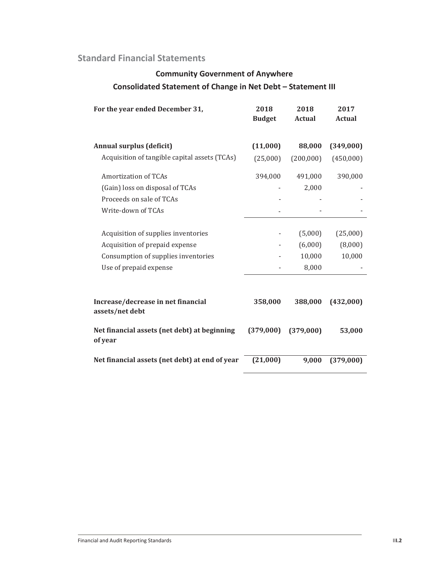## **Community Government of Anywhere Consolidated Statement of Change in Net Debt – Statement III**

| For the year ended December 31,                         | 2018<br><b>Budget</b>    | 2018<br><b>Actual</b> | 2017<br><b>Actual</b> |
|---------------------------------------------------------|--------------------------|-----------------------|-----------------------|
| <b>Annual surplus (deficit)</b>                         | (11,000)                 | 88,000                | (349,000)             |
| Acquisition of tangible capital assets (TCAs)           | (25,000)                 | (200,000)             | (450,000)             |
| Amortization of TCAs                                    | 394,000                  | 491,000               | 390,000               |
| (Gain) loss on disposal of TCAs                         |                          | 2,000                 |                       |
| Proceeds on sale of TCAs                                |                          |                       |                       |
| Write-down of TCAs                                      |                          |                       |                       |
| Acquisition of supplies inventories                     | $\overline{\phantom{a}}$ | (5,000)               | (25,000)              |
| Acquisition of prepaid expense                          | $\overline{\phantom{a}}$ | (6,000)               | (8,000)               |
| Consumption of supplies inventories                     |                          | 10,000                | 10,000                |
| Use of prepaid expense                                  |                          | 8,000                 |                       |
| Increase/decrease in net financial<br>assets/net debt   | 358,000                  | 388,000               | (432,000)             |
| Net financial assets (net debt) at beginning<br>of year | (379,000)                | (379,000)             | 53,000                |
| Net financial assets (net debt) at end of year          | (21,000)                 | 9,000                 | (379,000)             |